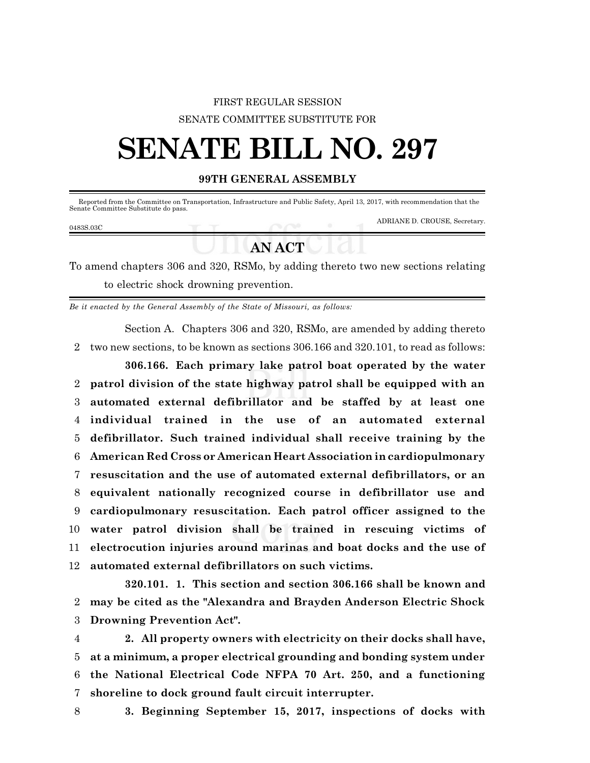## FIRST REGULAR SESSION SENATE COMMITTEE SUBSTITUTE FOR

# **SENATE BILL NO. 297**

### **99TH GENERAL ASSEMBLY**

 Reported from the Committee on Transportation, Infrastructure and Public Safety, April 13, 2017, with recommendation that the Senate Committee Substitute do pass.

#### 0483S.03C

ADRIANE D. CROUSE, Secretary.

# **AN ACT**

To amend chapters 306 and 320, RSMo, by adding thereto two new sections relating to electric shock drowning prevention.

*Be it enacted by the General Assembly of the State of Missouri, as follows:*

Section A. Chapters 306 and 320, RSMo, are amended by adding thereto 2 two new sections, to be known as sections 306.166 and 320.101, to read as follows:

**306.166. Each primary lake patrol boat operated by the water patrol division of the state highway patrol shall be equipped with an automated external defibrillator and be staffed by at least one individual trained in the use of an automated external defibrillator. Such trained individual shall receive training by the American Red Cross or American Heart Association in cardiopulmonary resuscitation and the use of automated external defibrillators, or an equivalent nationally recognized course in defibrillator use and cardiopulmonary resuscitation. Each patrol officer assigned to the water patrol division shall be trained in rescuing victims of electrocution injuries around marinas and boat docks and the use of automated external defibrillators on such victims.**

**320.101. 1. This section and section 306.166 shall be known and** 2 **may be cited as the "Alexandra and Brayden Anderson Electric Shock** 3 **Drowning Prevention Act".**

 **2. All property owners with electricity on their docks shall have, at a minimum, a proper electrical grounding and bonding system under the National Electrical Code NFPA 70 Art. 250, and a functioning shoreline to dock ground fault circuit interrupter.**

- 
- 8 **3. Beginning September 15, 2017, inspections of docks with**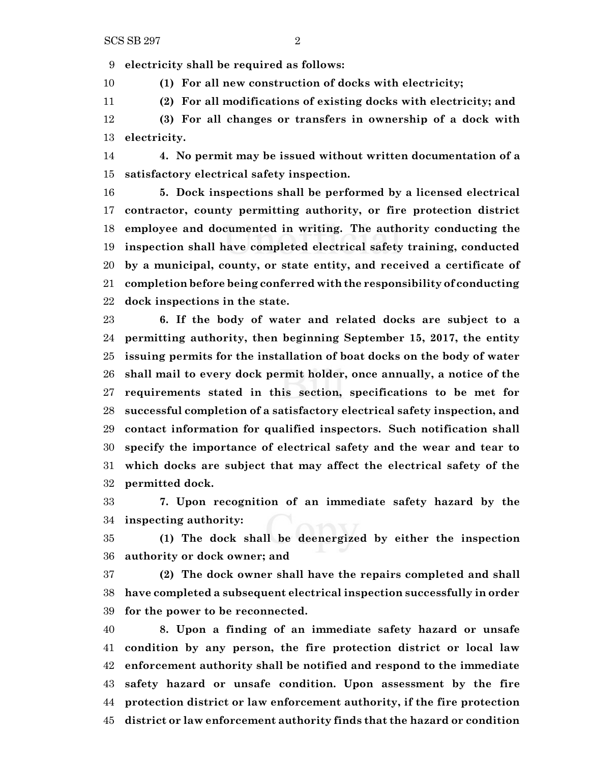**electricity shall be required as follows:**

**(1) For all new construction of docks with electricity;**

**(2) For all modifications of existing docks with electricity; and**

 **(3) For all changes or transfers in ownership of a dock with electricity.**

 **4. No permit may be issued without written documentation of a satisfactory electrical safety inspection.**

 **5. Dock inspections shall be performed by a licensed electrical contractor, county permitting authority, or fire protection district employee and documented in writing. The authority conducting the inspection shall have completed electrical safety training, conducted by a municipal, county, or state entity, and received a certificate of completion before being conferred with the responsibility of conducting dock inspections in the state.**

 **6. If the body of water and related docks are subject to a permitting authority, then beginning September 15, 2017, the entity issuing permits for the installation of boat docks on the body of water shall mail to every dock permit holder, once annually, a notice of the requirements stated in this section, specifications to be met for successful completion of a satisfactory electrical safety inspection, and contact information for qualified inspectors. Such notification shall specify the importance of electrical safety and the wear and tear to which docks are subject that may affect the electrical safety of the permitted dock.**

 **7. Upon recognition of an immediate safety hazard by the inspecting authority:**

 **(1) The dock shall be deenergized by either the inspection authority or dock owner; and**

 **(2) The dock owner shall have the repairs completed and shall have completed a subsequent electrical inspection successfully in order for the power to be reconnected.**

 **8. Upon a finding of an immediate safety hazard or unsafe condition by any person, the fire protection district or local law enforcement authority shall be notified and respond to the immediate safety hazard or unsafe condition. Upon assessment by the fire protection district or law enforcement authority, if the fire protection district or law enforcement authority finds that the hazard or condition**